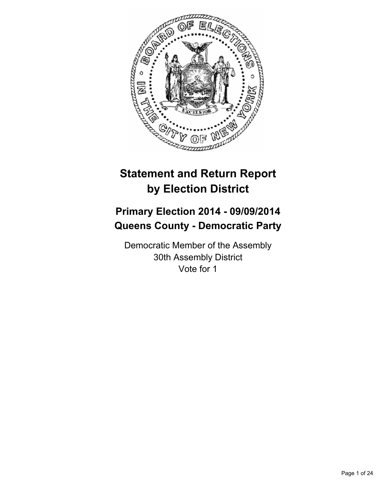

# **Statement and Return Report by Election District**

## **Primary Election 2014 - 09/09/2014 Queens County - Democratic Party**

Democratic Member of the Assembly 30th Assembly District Vote for 1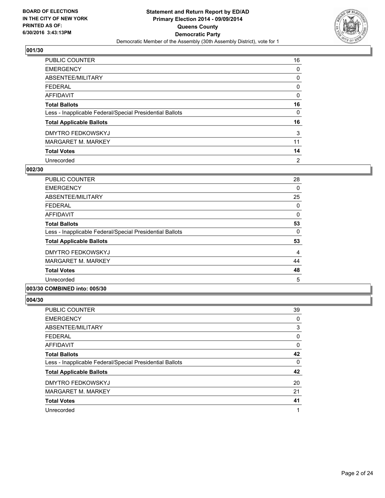

| PUBLIC COUNTER                                           | 16             |
|----------------------------------------------------------|----------------|
| <b>EMERGENCY</b>                                         | 0              |
| ABSENTEE/MILITARY                                        | 0              |
| <b>FEDERAL</b>                                           | 0              |
| <b>AFFIDAVIT</b>                                         | 0              |
| <b>Total Ballots</b>                                     | 16             |
| Less - Inapplicable Federal/Special Presidential Ballots | 0              |
| <b>Total Applicable Ballots</b>                          | 16             |
| <b>DMYTRO FEDKOWSKYJ</b>                                 | 3              |
| <b>MARGARET M. MARKEY</b>                                | 11             |
| <b>Total Votes</b>                                       | 14             |
| Unrecorded                                               | $\overline{2}$ |

#### **002/30**

| <b>PUBLIC COUNTER</b>                                                               | 28 |
|-------------------------------------------------------------------------------------|----|
| <b>EMERGENCY</b>                                                                    | 0  |
| ABSENTEE/MILITARY                                                                   | 25 |
| <b>FEDERAL</b>                                                                      | 0  |
| AFFIDAVIT                                                                           | 0  |
| <b>Total Ballots</b>                                                                | 53 |
| Less - Inapplicable Federal/Special Presidential Ballots                            | 0  |
| <b>Total Applicable Ballots</b>                                                     | 53 |
| <b>DMYTRO FEDKOWSKYJ</b>                                                            | 4  |
| <b>MARGARET M. MARKEY</b>                                                           | 44 |
| <b>Total Votes</b>                                                                  | 48 |
| Unrecorded                                                                          | 5  |
| $A$ $A$ $B$ $B$ $B$ $B$ $B$ $A$ $A$ $A$ $A$ $B$ $B$ $A$ $A$ $A$ $B$ $B$ $A$ $A$ $A$ |    |

## **003/30 COMBINED into: 005/30**

| PUBLIC COUNTER                                           | 39 |
|----------------------------------------------------------|----|
| <b>EMERGENCY</b>                                         | 0  |
| ABSENTEE/MILITARY                                        | 3  |
| <b>FEDERAL</b>                                           | 0  |
| <b>AFFIDAVIT</b>                                         | 0  |
| <b>Total Ballots</b>                                     | 42 |
| Less - Inapplicable Federal/Special Presidential Ballots | 0  |
| <b>Total Applicable Ballots</b>                          | 42 |
| <b>DMYTRO FEDKOWSKYJ</b>                                 | 20 |
| <b>MARGARET M. MARKEY</b>                                | 21 |
| <b>Total Votes</b>                                       | 41 |
| Unrecorded                                               | 1  |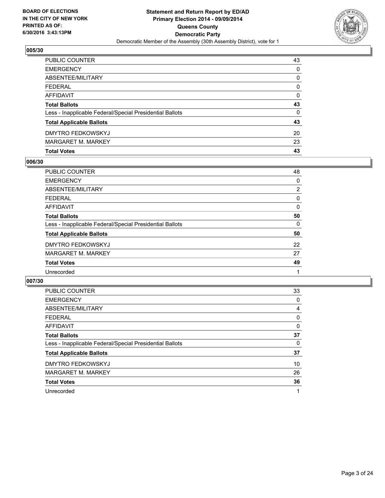

| <b>Total Votes</b>                                       | 43           |
|----------------------------------------------------------|--------------|
| <b>MARGARET M. MARKEY</b>                                | 23           |
| <b>DMYTRO FEDKOWSKYJ</b>                                 | 20           |
| <b>Total Applicable Ballots</b>                          | 43           |
| Less - Inapplicable Federal/Special Presidential Ballots | 0            |
| <b>Total Ballots</b>                                     | 43           |
| <b>AFFIDAVIT</b>                                         | 0            |
| <b>FEDERAL</b>                                           | $\mathbf{0}$ |
| ABSENTEE/MILITARY                                        | 0            |
| <b>EMERGENCY</b>                                         | $\Omega$     |
| PUBLIC COUNTER                                           | 43           |

## **006/30**

| <b>PUBLIC COUNTER</b>                                    | 48             |
|----------------------------------------------------------|----------------|
| <b>EMERGENCY</b>                                         | 0              |
| ABSENTEE/MILITARY                                        | $\overline{2}$ |
| <b>FEDERAL</b>                                           | 0              |
| <b>AFFIDAVIT</b>                                         | 0              |
| <b>Total Ballots</b>                                     | 50             |
| Less - Inapplicable Federal/Special Presidential Ballots | 0              |
| <b>Total Applicable Ballots</b>                          | 50             |
| <b>DMYTRO FEDKOWSKYJ</b>                                 | 22             |
| <b>MARGARET M. MARKEY</b>                                | 27             |
| <b>Total Votes</b>                                       | 49             |
| Unrecorded                                               |                |
|                                                          |                |

| <b>PUBLIC COUNTER</b>                                    | 33 |
|----------------------------------------------------------|----|
| <b>EMERGENCY</b>                                         | 0  |
| ABSENTEE/MILITARY                                        | 4  |
| <b>FEDERAL</b>                                           | 0  |
| <b>AFFIDAVIT</b>                                         | 0  |
| <b>Total Ballots</b>                                     | 37 |
| Less - Inapplicable Federal/Special Presidential Ballots | 0  |
| <b>Total Applicable Ballots</b>                          | 37 |
| DMYTRO FEDKOWSKYJ                                        | 10 |
| <b>MARGARET M. MARKEY</b>                                | 26 |
| <b>Total Votes</b>                                       | 36 |
| Unrecorded                                               | 1  |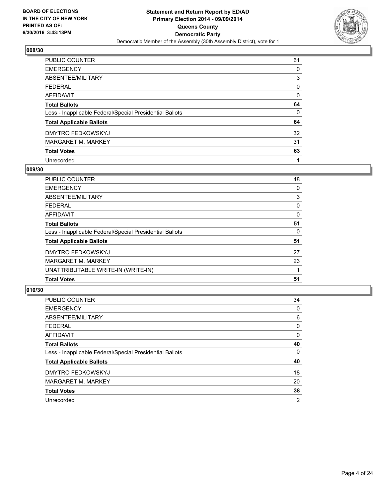

| PUBLIC COUNTER                                           | 61 |
|----------------------------------------------------------|----|
| <b>EMERGENCY</b>                                         | 0  |
| ABSENTEE/MILITARY                                        | 3  |
| <b>FEDERAL</b>                                           | 0  |
| <b>AFFIDAVIT</b>                                         | 0  |
| <b>Total Ballots</b>                                     | 64 |
| Less - Inapplicable Federal/Special Presidential Ballots | 0  |
| <b>Total Applicable Ballots</b>                          | 64 |
| <b>DMYTRO FEDKOWSKYJ</b>                                 | 32 |
| <b>MARGARET M. MARKEY</b>                                | 31 |
| <b>Total Votes</b>                                       | 63 |
| Unrecorded                                               |    |

#### **009/30**

| PUBLIC COUNTER                                           | 48 |
|----------------------------------------------------------|----|
| <b>EMERGENCY</b>                                         | 0  |
| ABSENTEE/MILITARY                                        | 3  |
| <b>FEDERAL</b>                                           | 0  |
| <b>AFFIDAVIT</b>                                         | 0  |
| <b>Total Ballots</b>                                     | 51 |
| Less - Inapplicable Federal/Special Presidential Ballots | 0  |
| <b>Total Applicable Ballots</b>                          | 51 |
| <b>DMYTRO FEDKOWSKYJ</b>                                 | 27 |
| <b>MARGARET M. MARKEY</b>                                | 23 |
| UNATTRIBUTABLE WRITE-IN (WRITE-IN)                       |    |
| <b>Total Votes</b>                                       | 51 |

| <b>PUBLIC COUNTER</b>                                    | 34 |
|----------------------------------------------------------|----|
| <b>EMERGENCY</b>                                         | 0  |
| ABSENTEE/MILITARY                                        | 6  |
| <b>FEDERAL</b>                                           | 0  |
| <b>AFFIDAVIT</b>                                         | 0  |
| <b>Total Ballots</b>                                     | 40 |
| Less - Inapplicable Federal/Special Presidential Ballots | 0  |
| <b>Total Applicable Ballots</b>                          | 40 |
| <b>DMYTRO FEDKOWSKYJ</b>                                 | 18 |
| <b>MARGARET M. MARKEY</b>                                | 20 |
| <b>Total Votes</b>                                       | 38 |
| Unrecorded                                               | 2  |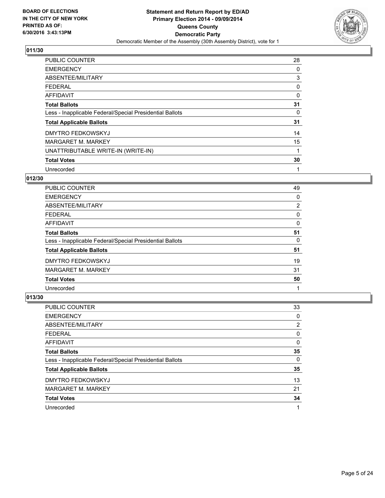

| PUBLIC COUNTER                                           | 28 |
|----------------------------------------------------------|----|
| <b>EMERGENCY</b>                                         | 0  |
| ABSENTEE/MILITARY                                        | 3  |
| <b>FEDERAL</b>                                           | 0  |
| <b>AFFIDAVIT</b>                                         | 0  |
| <b>Total Ballots</b>                                     | 31 |
| Less - Inapplicable Federal/Special Presidential Ballots | 0  |
| <b>Total Applicable Ballots</b>                          | 31 |
| <b>DMYTRO FEDKOWSKYJ</b>                                 | 14 |
| <b>MARGARET M. MARKEY</b>                                | 15 |
| UNATTRIBUTABLE WRITE-IN (WRITE-IN)                       | 1  |
| <b>Total Votes</b>                                       | 30 |
| Unrecorded                                               | 1  |

## **012/30**

| PUBLIC COUNTER                                           | 49             |
|----------------------------------------------------------|----------------|
| <b>EMERGENCY</b>                                         | 0              |
| ABSENTEE/MILITARY                                        | $\overline{2}$ |
| <b>FEDERAL</b>                                           | 0              |
| AFFIDAVIT                                                | 0              |
| <b>Total Ballots</b>                                     | 51             |
| Less - Inapplicable Federal/Special Presidential Ballots | 0              |
| <b>Total Applicable Ballots</b>                          | 51             |
| <b>DMYTRO FEDKOWSKYJ</b>                                 | 19             |
| <b>MARGARET M. MARKEY</b>                                | 31             |
| <b>Total Votes</b>                                       | 50             |
| Unrecorded                                               | 1              |

| PUBLIC COUNTER                                           | 33             |
|----------------------------------------------------------|----------------|
| <b>EMERGENCY</b>                                         | 0              |
| ABSENTEE/MILITARY                                        | $\overline{2}$ |
| <b>FEDERAL</b>                                           | 0              |
| <b>AFFIDAVIT</b>                                         | 0              |
| <b>Total Ballots</b>                                     | 35             |
| Less - Inapplicable Federal/Special Presidential Ballots | 0              |
| <b>Total Applicable Ballots</b>                          | 35             |
| <b>DMYTRO FEDKOWSKYJ</b>                                 | 13             |
| <b>MARGARET M. MARKEY</b>                                | 21             |
| <b>Total Votes</b>                                       | 34             |
| Unrecorded                                               |                |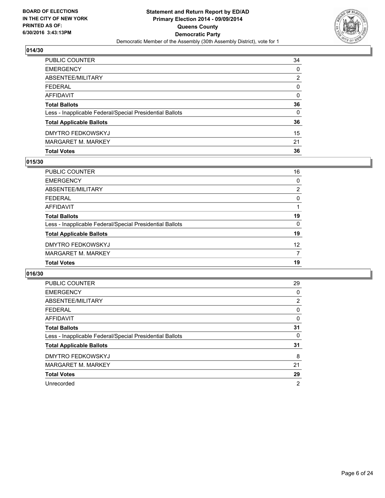

| <b>Total Votes</b>                                       | 36           |
|----------------------------------------------------------|--------------|
| <b>MARGARET M. MARKEY</b>                                | 21           |
| DMYTRO FEDKOWSKYJ                                        | 15           |
| <b>Total Applicable Ballots</b>                          | 36           |
| Less - Inapplicable Federal/Special Presidential Ballots | $\mathbf{0}$ |
| <b>Total Ballots</b>                                     | 36           |
| <b>AFFIDAVIT</b>                                         | $\Omega$     |
| <b>FEDERAL</b>                                           | $\mathbf{0}$ |
| ABSENTEE/MILITARY                                        | 2            |
| <b>EMERGENCY</b>                                         | 0            |
| PUBLIC COUNTER                                           | 34           |

## **015/30**

| PUBLIC COUNTER                                           | 16              |
|----------------------------------------------------------|-----------------|
| <b>EMERGENCY</b>                                         | 0               |
| <b>ABSENTEE/MILITARY</b>                                 | $\overline{2}$  |
| <b>FEDERAL</b>                                           | 0               |
| <b>AFFIDAVIT</b>                                         |                 |
| <b>Total Ballots</b>                                     | 19              |
| Less - Inapplicable Federal/Special Presidential Ballots | $\Omega$        |
| <b>Total Applicable Ballots</b>                          | 19              |
| DMYTRO FEDKOWSKYJ                                        | 12 <sup>2</sup> |
| <b>MARGARET M. MARKEY</b>                                | 7               |
| <b>Total Votes</b>                                       | 19              |
|                                                          |                 |

| <b>PUBLIC COUNTER</b>                                    | 29             |
|----------------------------------------------------------|----------------|
| <b>EMERGENCY</b>                                         | 0              |
| ABSENTEE/MILITARY                                        | 2              |
| <b>FEDERAL</b>                                           | 0              |
| AFFIDAVIT                                                | 0              |
| <b>Total Ballots</b>                                     | 31             |
| Less - Inapplicable Federal/Special Presidential Ballots | 0              |
| <b>Total Applicable Ballots</b>                          | 31             |
| <b>DMYTRO FEDKOWSKYJ</b>                                 | 8              |
| <b>MARGARET M. MARKEY</b>                                | 21             |
| <b>Total Votes</b>                                       | 29             |
| Unrecorded                                               | $\overline{2}$ |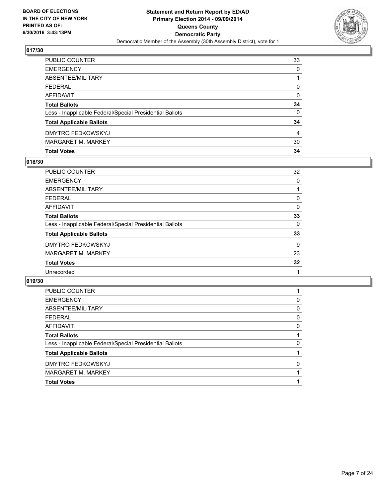

| PUBLIC COUNTER                                           | 33       |
|----------------------------------------------------------|----------|
| <b>EMERGENCY</b>                                         | 0        |
| ABSENTEE/MILITARY                                        |          |
| <b>FEDERAL</b>                                           | $\Omega$ |
| <b>AFFIDAVIT</b>                                         | $\Omega$ |
| <b>Total Ballots</b>                                     | 34       |
| Less - Inapplicable Federal/Special Presidential Ballots | $\Omega$ |
| <b>Total Applicable Ballots</b>                          | 34       |
| DMYTRO FEDKOWSKYJ                                        | 4        |
| <b>MARGARET M. MARKEY</b>                                | 30       |
| <b>Total Votes</b>                                       | 34       |

## **018/30**

| 32 |
|----|
| 0  |
|    |
| 0  |
| 0  |
| 33 |
| 0  |
| 33 |
| 9  |
| 23 |
| 32 |
|    |
|    |

| <b>Total Votes</b>                                       |   |
|----------------------------------------------------------|---|
| <b>MARGARET M. MARKEY</b>                                |   |
| <b>DMYTRO FEDKOWSKYJ</b>                                 | 0 |
| <b>Total Applicable Ballots</b>                          |   |
| Less - Inapplicable Federal/Special Presidential Ballots | 0 |
| <b>Total Ballots</b>                                     |   |
| <b>AFFIDAVIT</b>                                         | 0 |
| <b>FEDERAL</b>                                           | 0 |
| ABSENTEE/MILITARY                                        | 0 |
| <b>EMERGENCY</b>                                         | 0 |
| <b>PUBLIC COUNTER</b>                                    |   |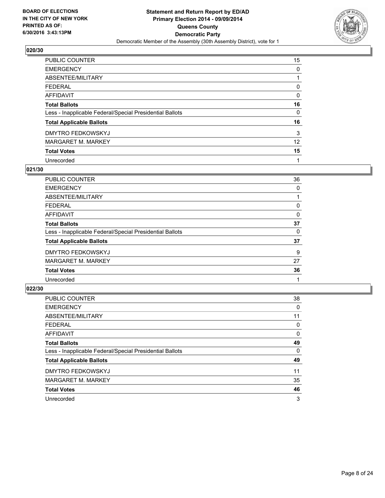

| PUBLIC COUNTER                                           | 15 |
|----------------------------------------------------------|----|
| <b>EMERGENCY</b>                                         | 0  |
| ABSENTEE/MILITARY                                        |    |
| <b>FEDERAL</b>                                           | 0  |
| AFFIDAVIT                                                | 0  |
| <b>Total Ballots</b>                                     | 16 |
| Less - Inapplicable Federal/Special Presidential Ballots | 0  |
| <b>Total Applicable Ballots</b>                          | 16 |
| <b>DMYTRO FEDKOWSKYJ</b>                                 | 3  |
| <b>MARGARET M. MARKEY</b>                                | 12 |
| <b>Total Votes</b>                                       | 15 |
| Unrecorded                                               | 1  |

#### **021/30**

| PUBLIC COUNTER                                           | 36 |
|----------------------------------------------------------|----|
| <b>EMERGENCY</b>                                         | 0  |
| ABSENTEE/MILITARY                                        |    |
| <b>FEDERAL</b>                                           | 0  |
| <b>AFFIDAVIT</b>                                         | 0  |
| <b>Total Ballots</b>                                     | 37 |
| Less - Inapplicable Federal/Special Presidential Ballots | 0  |
| <b>Total Applicable Ballots</b>                          | 37 |
| <b>DMYTRO FEDKOWSKYJ</b>                                 | 9  |
| <b>MARGARET M. MARKEY</b>                                | 27 |
| <b>Total Votes</b>                                       | 36 |
| Unrecorded                                               |    |
|                                                          |    |

| PUBLIC COUNTER                                           | 38 |
|----------------------------------------------------------|----|
| <b>EMERGENCY</b>                                         | 0  |
| ABSENTEE/MILITARY                                        | 11 |
| <b>FEDERAL</b>                                           | 0  |
| AFFIDAVIT                                                | 0  |
| <b>Total Ballots</b>                                     | 49 |
| Less - Inapplicable Federal/Special Presidential Ballots | 0  |
| <b>Total Applicable Ballots</b>                          | 49 |
| <b>DMYTRO FEDKOWSKYJ</b>                                 | 11 |
| MARGARET M. MARKEY                                       | 35 |
| <b>Total Votes</b>                                       | 46 |
| Unrecorded                                               | 3  |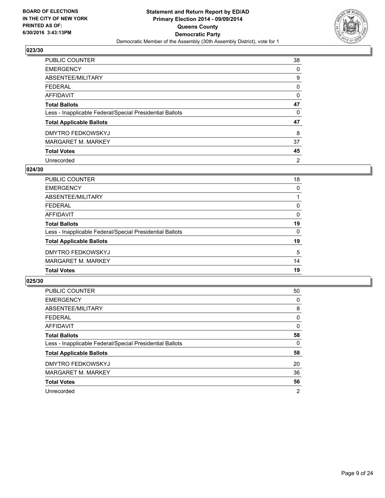

| PUBLIC COUNTER                                           | 38             |
|----------------------------------------------------------|----------------|
| <b>EMERGENCY</b>                                         | 0              |
| ABSENTEE/MILITARY                                        | 9              |
| <b>FEDERAL</b>                                           | 0              |
| <b>AFFIDAVIT</b>                                         | 0              |
| <b>Total Ballots</b>                                     | 47             |
| Less - Inapplicable Federal/Special Presidential Ballots | 0              |
| <b>Total Applicable Ballots</b>                          | 47             |
| <b>DMYTRO FEDKOWSKYJ</b>                                 | 8              |
| <b>MARGARET M. MARKEY</b>                                | 37             |
| <b>Total Votes</b>                                       | 45             |
| Unrecorded                                               | $\overline{2}$ |

#### **024/30**

| <b>PUBLIC COUNTER</b>                                    | 18 |
|----------------------------------------------------------|----|
| <b>EMERGENCY</b>                                         | 0  |
| <b>ABSENTEE/MILITARY</b>                                 |    |
| <b>FEDERAL</b>                                           | 0  |
| <b>AFFIDAVIT</b>                                         | 0  |
| <b>Total Ballots</b>                                     | 19 |
| Less - Inapplicable Federal/Special Presidential Ballots | 0  |
| <b>Total Applicable Ballots</b>                          | 19 |
| DMYTRO FEDKOWSKYJ                                        | 5  |
| <b>MARGARET M. MARKEY</b>                                | 14 |
| <b>Total Votes</b>                                       | 19 |

| <b>PUBLIC COUNTER</b>                                    | 50 |
|----------------------------------------------------------|----|
| <b>EMERGENCY</b>                                         | 0  |
| ABSENTEE/MILITARY                                        | 8  |
| <b>FEDERAL</b>                                           | 0  |
| <b>AFFIDAVIT</b>                                         | 0  |
| <b>Total Ballots</b>                                     | 58 |
| Less - Inapplicable Federal/Special Presidential Ballots | 0  |
| <b>Total Applicable Ballots</b>                          | 58 |
| DMYTRO FEDKOWSKYJ                                        | 20 |
| <b>MARGARET M. MARKEY</b>                                | 36 |
| <b>Total Votes</b>                                       | 56 |
| Unrecorded                                               | 2  |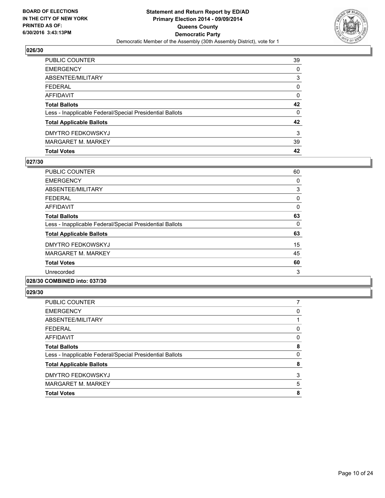

| PUBLIC COUNTER                                           | 39       |
|----------------------------------------------------------|----------|
| <b>EMERGENCY</b>                                         | 0        |
| ABSENTEE/MILITARY                                        | 3        |
| <b>FEDERAL</b>                                           | $\Omega$ |
| <b>AFFIDAVIT</b>                                         | 0        |
| <b>Total Ballots</b>                                     | 42       |
| Less - Inapplicable Federal/Special Presidential Ballots | 0        |
| <b>Total Applicable Ballots</b>                          | 42       |
| <b>DMYTRO FEDKOWSKYJ</b>                                 | 3        |
| <b>MARGARET M. MARKEY</b>                                | 39       |
| <b>Total Votes</b>                                       | 42       |

## **027/30**

| PUBLIC COUNTER                                           | 60 |
|----------------------------------------------------------|----|
| <b>EMERGENCY</b>                                         | 0  |
| ABSENTEE/MILITARY                                        | 3  |
| <b>FEDERAL</b>                                           | 0  |
| <b>AFFIDAVIT</b>                                         | 0  |
| <b>Total Ballots</b>                                     | 63 |
| Less - Inapplicable Federal/Special Presidential Ballots | 0  |
| <b>Total Applicable Ballots</b>                          | 63 |
| <b>DMYTRO FEDKOWSKYJ</b>                                 | 15 |
| <b>MARGARET M. MARKEY</b>                                | 45 |
| <b>Total Votes</b>                                       | 60 |
| Unrecorded                                               | 3  |
|                                                          |    |

## **028/30 COMBINED into: 037/30**

| <b>Total Votes</b>                                       | 8 |
|----------------------------------------------------------|---|
| <b>MARGARET M. MARKEY</b>                                | 5 |
| DMYTRO FEDKOWSKYJ                                        | 3 |
| <b>Total Applicable Ballots</b>                          | 8 |
| Less - Inapplicable Federal/Special Presidential Ballots | 0 |
| <b>Total Ballots</b>                                     | 8 |
| <b>AFFIDAVIT</b>                                         | 0 |
| <b>FEDERAL</b>                                           | 0 |
| <b>ABSENTEE/MILITARY</b>                                 |   |
| <b>EMERGENCY</b>                                         | 0 |
| PUBLIC COUNTER                                           |   |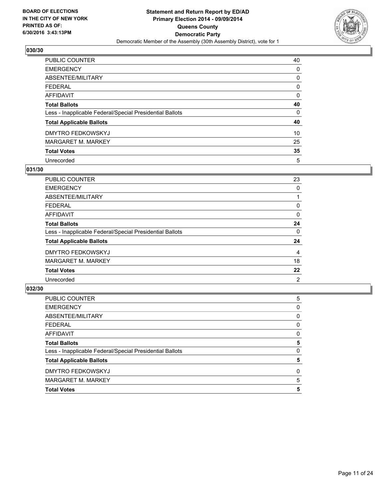

| <b>PUBLIC COUNTER</b>                                    | 40 |
|----------------------------------------------------------|----|
| <b>EMERGENCY</b>                                         | 0  |
| ABSENTEE/MILITARY                                        | 0  |
| <b>FEDERAL</b>                                           | 0  |
| <b>AFFIDAVIT</b>                                         | 0  |
| <b>Total Ballots</b>                                     | 40 |
| Less - Inapplicable Federal/Special Presidential Ballots | 0  |
| <b>Total Applicable Ballots</b>                          | 40 |
| <b>DMYTRO FEDKOWSKYJ</b>                                 | 10 |
| <b>MARGARET M. MARKEY</b>                                | 25 |
| <b>Total Votes</b>                                       | 35 |
| Unrecorded                                               | 5  |

#### **031/30**

| <b>PUBLIC COUNTER</b>                                    | 23 |
|----------------------------------------------------------|----|
| <b>EMERGENCY</b>                                         | 0  |
| ABSENTEE/MILITARY                                        |    |
| <b>FEDERAL</b>                                           | 0  |
| <b>AFFIDAVIT</b>                                         | 0  |
| <b>Total Ballots</b>                                     | 24 |
| Less - Inapplicable Federal/Special Presidential Ballots | 0  |
| <b>Total Applicable Ballots</b>                          | 24 |
| <b>DMYTRO FEDKOWSKYJ</b>                                 | 4  |
| <b>MARGARET M. MARKEY</b>                                | 18 |
| <b>Total Votes</b>                                       | 22 |
| Unrecorded                                               | 2  |

| <b>Total Votes</b>                                       | 5 |
|----------------------------------------------------------|---|
| <b>MARGARET M. MARKEY</b>                                | 5 |
| DMYTRO FEDKOWSKYJ                                        | 0 |
| <b>Total Applicable Ballots</b>                          | 5 |
| Less - Inapplicable Federal/Special Presidential Ballots | 0 |
| <b>Total Ballots</b>                                     | 5 |
| <b>AFFIDAVIT</b>                                         | 0 |
| <b>FEDERAL</b>                                           | 0 |
| ABSENTEE/MILITARY                                        | 0 |
| <b>EMERGENCY</b>                                         | 0 |
| <b>PUBLIC COUNTER</b>                                    | 5 |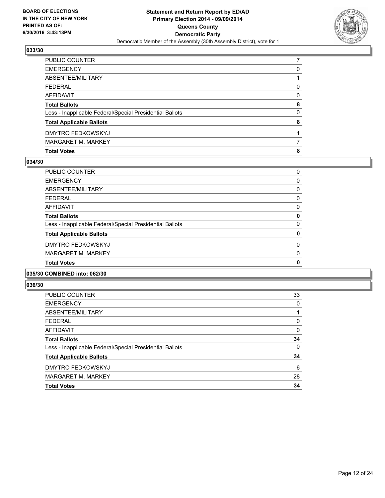

| <b>Total Votes</b>                                       | 8 |
|----------------------------------------------------------|---|
| <b>MARGARET M. MARKEY</b>                                |   |
| DMYTRO FEDKOWSKYJ                                        |   |
| <b>Total Applicable Ballots</b>                          | 8 |
| Less - Inapplicable Federal/Special Presidential Ballots | 0 |
| <b>Total Ballots</b>                                     | 8 |
| <b>AFFIDAVIT</b>                                         | 0 |
| <b>FEDERAL</b>                                           | 0 |
| ABSENTEE/MILITARY                                        |   |
| <b>EMERGENCY</b>                                         | 0 |
| PUBLIC COUNTER                                           |   |

## **034/30**

| PUBLIC COUNTER                                           | 0            |
|----------------------------------------------------------|--------------|
| <b>EMERGENCY</b>                                         | 0            |
| ABSENTEE/MILITARY                                        | 0            |
| <b>FEDERAL</b>                                           | 0            |
| <b>AFFIDAVIT</b>                                         | 0            |
| <b>Total Ballots</b>                                     | 0            |
| Less - Inapplicable Federal/Special Presidential Ballots | 0            |
| <b>Total Applicable Ballots</b>                          | 0            |
| DMYTRO FEDKOWSKYJ                                        | 0            |
| <b>MARGARET M. MARKEY</b>                                | 0            |
| <b>Total Votes</b>                                       | $\mathbf{0}$ |
|                                                          |              |

#### **035/30 COMBINED into: 062/30**

| <b>Total Votes</b>                                       | 34 |
|----------------------------------------------------------|----|
| <b>MARGARET M. MARKEY</b>                                | 28 |
| DMYTRO FEDKOWSKYJ                                        | 6  |
| <b>Total Applicable Ballots</b>                          | 34 |
| Less - Inapplicable Federal/Special Presidential Ballots | 0  |
| <b>Total Ballots</b>                                     | 34 |
| AFFIDAVIT                                                | 0  |
| FEDERAL                                                  | 0  |
| ABSENTEE/MILITARY                                        |    |
| <b>EMERGENCY</b>                                         | 0  |
| <b>PUBLIC COUNTER</b>                                    | 33 |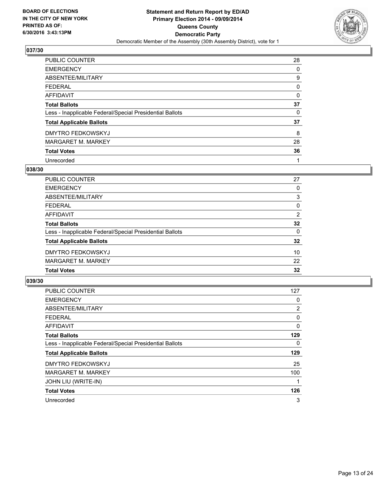

| <b>PUBLIC COUNTER</b>                                    | 28 |
|----------------------------------------------------------|----|
| <b>EMERGENCY</b>                                         | 0  |
| ABSENTEE/MILITARY                                        | 9  |
| <b>FEDERAL</b>                                           | 0  |
| <b>AFFIDAVIT</b>                                         | 0  |
| <b>Total Ballots</b>                                     | 37 |
| Less - Inapplicable Federal/Special Presidential Ballots | 0  |
| <b>Total Applicable Ballots</b>                          | 37 |
| <b>DMYTRO FEDKOWSKYJ</b>                                 | 8  |
| <b>MARGARET M. MARKEY</b>                                | 28 |
| <b>Total Votes</b>                                       | 36 |
| Unrecorded                                               |    |

#### **038/30**

| <b>PUBLIC COUNTER</b>                                    | 27       |
|----------------------------------------------------------|----------|
| <b>EMERGENCY</b>                                         | 0        |
| <b>ABSENTEE/MILITARY</b>                                 | 3        |
| <b>FEDERAL</b>                                           | 0        |
| <b>AFFIDAVIT</b>                                         | 2        |
| <b>Total Ballots</b>                                     | 32       |
| Less - Inapplicable Federal/Special Presidential Ballots | $\Omega$ |
| <b>Total Applicable Ballots</b>                          | 32       |
| DMYTRO FEDKOWSKYJ                                        | 10       |
| <b>MARGARET M. MARKEY</b>                                | 22       |
| <b>Total Votes</b>                                       | 32       |
|                                                          |          |

| PUBLIC COUNTER                                           | 127            |
|----------------------------------------------------------|----------------|
| <b>EMERGENCY</b>                                         | 0              |
| ABSENTEE/MILITARY                                        | $\overline{2}$ |
| <b>FEDERAL</b>                                           | 0              |
| <b>AFFIDAVIT</b>                                         | 0              |
| <b>Total Ballots</b>                                     | 129            |
| Less - Inapplicable Federal/Special Presidential Ballots | 0              |
| <b>Total Applicable Ballots</b>                          | 129            |
| DMYTRO FEDKOWSKYJ                                        | 25             |
| <b>MARGARET M. MARKEY</b>                                | 100            |
| JOHN LIU (WRITE-IN)                                      | 1              |
| <b>Total Votes</b>                                       | 126            |
| Unrecorded                                               | 3              |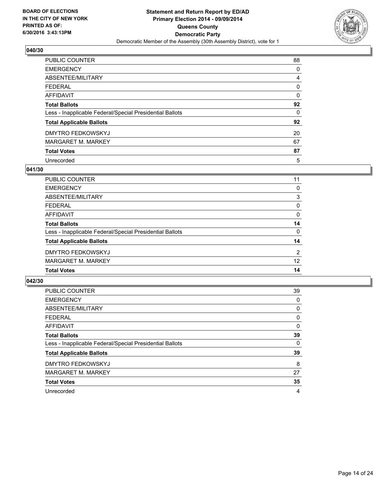

| <b>PUBLIC COUNTER</b>                                    | 88 |
|----------------------------------------------------------|----|
| <b>EMERGENCY</b>                                         | 0  |
| ABSENTEE/MILITARY                                        | 4  |
| <b>FEDERAL</b>                                           | 0  |
| <b>AFFIDAVIT</b>                                         | 0  |
| <b>Total Ballots</b>                                     | 92 |
| Less - Inapplicable Federal/Special Presidential Ballots | 0  |
| <b>Total Applicable Ballots</b>                          | 92 |
| <b>DMYTRO FEDKOWSKYJ</b>                                 | 20 |
| <b>MARGARET M. MARKEY</b>                                | 67 |
| <b>Total Votes</b>                                       | 87 |
| Unrecorded                                               | 5  |

#### **041/30**

| <b>PUBLIC COUNTER</b>                                    | 11       |
|----------------------------------------------------------|----------|
| <b>EMERGENCY</b>                                         | 0        |
| <b>ABSENTEE/MILITARY</b>                                 | 3        |
| <b>FEDERAL</b>                                           | 0        |
| <b>AFFIDAVIT</b>                                         | 0        |
| <b>Total Ballots</b>                                     | 14       |
| Less - Inapplicable Federal/Special Presidential Ballots | $\Omega$ |
| <b>Total Applicable Ballots</b>                          | 14       |
| DMYTRO FEDKOWSKYJ                                        | 2        |
| <b>MARGARET M. MARKEY</b>                                | 12       |
| <b>Total Votes</b>                                       | 14       |
|                                                          |          |

| <b>PUBLIC COUNTER</b>                                    | 39 |
|----------------------------------------------------------|----|
| <b>EMERGENCY</b>                                         | 0  |
| ABSENTEE/MILITARY                                        | 0  |
| <b>FEDERAL</b>                                           | 0  |
| <b>AFFIDAVIT</b>                                         | 0  |
| <b>Total Ballots</b>                                     | 39 |
| Less - Inapplicable Federal/Special Presidential Ballots | 0  |
| <b>Total Applicable Ballots</b>                          | 39 |
| DMYTRO FEDKOWSKYJ                                        | 8  |
| <b>MARGARET M. MARKEY</b>                                | 27 |
| <b>Total Votes</b>                                       | 35 |
| Unrecorded                                               | 4  |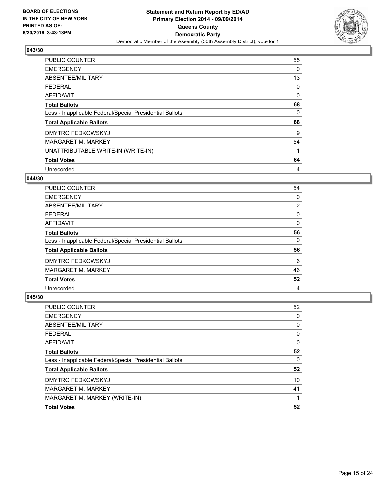

| <b>PUBLIC COUNTER</b>                                    | 55 |
|----------------------------------------------------------|----|
| <b>EMERGENCY</b>                                         | 0  |
| ABSENTEE/MILITARY                                        | 13 |
| <b>FEDERAL</b>                                           | 0  |
| <b>AFFIDAVIT</b>                                         | 0  |
| <b>Total Ballots</b>                                     | 68 |
| Less - Inapplicable Federal/Special Presidential Ballots | 0  |
| <b>Total Applicable Ballots</b>                          | 68 |
| <b>DMYTRO FEDKOWSKYJ</b>                                 | 9  |
| <b>MARGARET M. MARKEY</b>                                | 54 |
| UNATTRIBUTABLE WRITE-IN (WRITE-IN)                       | 1  |
| <b>Total Votes</b>                                       | 64 |
| Unrecorded                                               | 4  |

#### **044/30**

| <b>PUBLIC COUNTER</b>                                    | 54                    |
|----------------------------------------------------------|-----------------------|
| <b>EMERGENCY</b>                                         | 0                     |
| ABSENTEE/MILITARY                                        | $\mathbf{2}^{\prime}$ |
| FEDERAL                                                  | 0                     |
| AFFIDAVIT                                                | 0                     |
| <b>Total Ballots</b>                                     | 56                    |
| Less - Inapplicable Federal/Special Presidential Ballots | 0                     |
| <b>Total Applicable Ballots</b>                          | 56                    |
| <b>DMYTRO FEDKOWSKYJ</b>                                 | 6                     |
| <b>MARGARET M. MARKEY</b>                                | 46                    |
| <b>Total Votes</b>                                       | 52                    |
| Unrecorded                                               | 4                     |

| <b>PUBLIC COUNTER</b>                                    | 52 |
|----------------------------------------------------------|----|
| <b>EMERGENCY</b>                                         | 0  |
| ABSENTEE/MILITARY                                        | 0  |
| <b>FEDERAL</b>                                           | 0  |
| <b>AFFIDAVIT</b>                                         | 0  |
| <b>Total Ballots</b>                                     | 52 |
| Less - Inapplicable Federal/Special Presidential Ballots | 0  |
| <b>Total Applicable Ballots</b>                          | 52 |
| <b>DMYTRO FEDKOWSKYJ</b>                                 | 10 |
| <b>MARGARET M. MARKEY</b>                                | 41 |
| MARGARET M. MARKEY (WRITE-IN)                            | 1  |
| <b>Total Votes</b>                                       | 52 |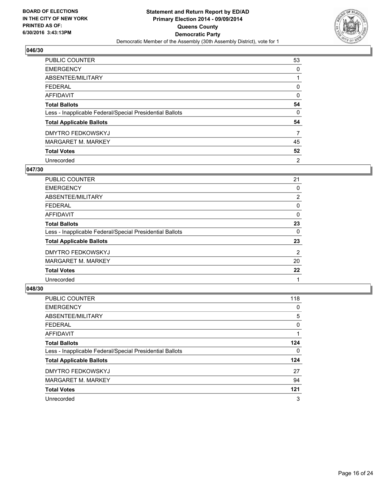

| <b>PUBLIC COUNTER</b>                                    | 53 |
|----------------------------------------------------------|----|
| <b>EMERGENCY</b>                                         | 0  |
| ABSENTEE/MILITARY                                        |    |
| <b>FEDERAL</b>                                           | 0  |
| AFFIDAVIT                                                | 0  |
| <b>Total Ballots</b>                                     | 54 |
| Less - Inapplicable Federal/Special Presidential Ballots | 0  |
| <b>Total Applicable Ballots</b>                          | 54 |
| <b>DMYTRO FEDKOWSKYJ</b>                                 | 7  |
| <b>MARGARET M. MARKEY</b>                                | 45 |
| <b>Total Votes</b>                                       | 52 |
| Unrecorded                                               | 2  |

#### **047/30**

| <b>PUBLIC COUNTER</b>                                    | 21             |
|----------------------------------------------------------|----------------|
| <b>EMERGENCY</b>                                         | 0              |
| ABSENTEE/MILITARY                                        | $\overline{2}$ |
| <b>FEDERAL</b>                                           | 0              |
| <b>AFFIDAVIT</b>                                         | 0              |
| <b>Total Ballots</b>                                     | 23             |
| Less - Inapplicable Federal/Special Presidential Ballots | 0              |
| <b>Total Applicable Ballots</b>                          | 23             |
| <b>DMYTRO FEDKOWSKYJ</b>                                 | 2              |
| MARGARET M. MARKEY                                       | 20             |
| <b>Total Votes</b>                                       | 22             |
| Unrecorded                                               |                |
|                                                          |                |

| PUBLIC COUNTER                                           | 118 |
|----------------------------------------------------------|-----|
| <b>EMERGENCY</b>                                         | 0   |
| ABSENTEE/MILITARY                                        | 5   |
| <b>FEDERAL</b>                                           | 0   |
| AFFIDAVIT                                                |     |
| <b>Total Ballots</b>                                     | 124 |
| Less - Inapplicable Federal/Special Presidential Ballots | 0   |
| <b>Total Applicable Ballots</b>                          | 124 |
| <b>DMYTRO FEDKOWSKYJ</b>                                 | 27  |
| MARGARET M. MARKEY                                       | 94  |
| <b>Total Votes</b>                                       | 121 |
| Unrecorded                                               | 3   |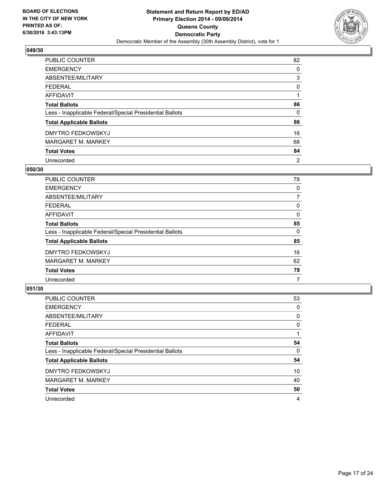

| <b>PUBLIC COUNTER</b>                                    | 82             |
|----------------------------------------------------------|----------------|
| <b>EMERGENCY</b>                                         | 0              |
| ABSENTEE/MILITARY                                        | 3              |
| <b>FEDERAL</b>                                           | 0              |
| <b>AFFIDAVIT</b>                                         |                |
| <b>Total Ballots</b>                                     | 86             |
| Less - Inapplicable Federal/Special Presidential Ballots | 0              |
| <b>Total Applicable Ballots</b>                          | 86             |
| <b>DMYTRO FEDKOWSKYJ</b>                                 | 16             |
| <b>MARGARET M. MARKEY</b>                                | 68             |
| <b>Total Votes</b>                                       | 84             |
| Unrecorded                                               | $\overline{2}$ |

#### **050/30**

| <b>PUBLIC COUNTER</b>                                    | 78 |
|----------------------------------------------------------|----|
| <b>EMERGENCY</b>                                         | 0  |
| ABSENTEE/MILITARY                                        | 7  |
| <b>FEDERAL</b>                                           | 0  |
| <b>AFFIDAVIT</b>                                         | 0  |
| <b>Total Ballots</b>                                     | 85 |
| Less - Inapplicable Federal/Special Presidential Ballots | 0  |
| <b>Total Applicable Ballots</b>                          | 85 |
| <b>DMYTRO FEDKOWSKYJ</b>                                 | 16 |
| MARGARET M. MARKEY                                       | 62 |
| <b>Total Votes</b>                                       | 78 |
| Unrecorded                                               | 7  |

| <b>PUBLIC COUNTER</b>                                    | 53 |
|----------------------------------------------------------|----|
| <b>EMERGENCY</b>                                         | 0  |
| ABSENTEE/MILITARY                                        | 0  |
| <b>FEDERAL</b>                                           | 0  |
| <b>AFFIDAVIT</b>                                         |    |
| <b>Total Ballots</b>                                     | 54 |
| Less - Inapplicable Federal/Special Presidential Ballots | 0  |
| <b>Total Applicable Ballots</b>                          | 54 |
| <b>DMYTRO FEDKOWSKYJ</b>                                 | 10 |
| <b>MARGARET M. MARKEY</b>                                | 40 |
| <b>Total Votes</b>                                       | 50 |
| Unrecorded                                               | 4  |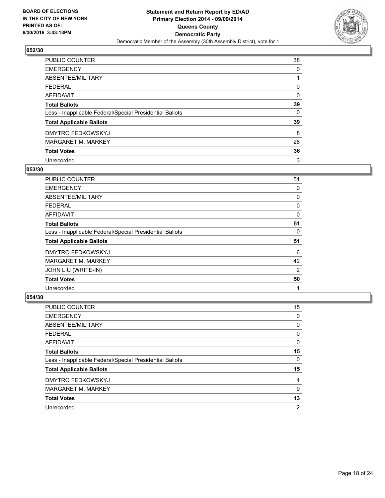

| PUBLIC COUNTER                                           | 38 |
|----------------------------------------------------------|----|
| <b>EMERGENCY</b>                                         | 0  |
| ABSENTEE/MILITARY                                        |    |
| <b>FEDERAL</b>                                           | 0  |
| AFFIDAVIT                                                | 0  |
| <b>Total Ballots</b>                                     | 39 |
| Less - Inapplicable Federal/Special Presidential Ballots | 0  |
| <b>Total Applicable Ballots</b>                          | 39 |
| <b>DMYTRO FEDKOWSKYJ</b>                                 | 8  |
| <b>MARGARET M. MARKEY</b>                                | 28 |
| <b>Total Votes</b>                                       | 36 |
| Unrecorded                                               | 3  |

#### **053/30**

| <b>PUBLIC COUNTER</b>                                    | 51 |
|----------------------------------------------------------|----|
| <b>EMERGENCY</b>                                         | 0  |
| ABSENTEE/MILITARY                                        | 0  |
| <b>FEDERAL</b>                                           | 0  |
| AFFIDAVIT                                                | 0  |
| <b>Total Ballots</b>                                     | 51 |
| Less - Inapplicable Federal/Special Presidential Ballots | 0  |
| <b>Total Applicable Ballots</b>                          | 51 |
| <b>DMYTRO FEDKOWSKYJ</b>                                 | 6  |
| <b>MARGARET M. MARKEY</b>                                | 42 |
| JOHN LIU (WRITE-IN)                                      | 2  |
| <b>Total Votes</b>                                       | 50 |
| Unrecorded                                               | 1  |

| PUBLIC COUNTER                                           | 15 |
|----------------------------------------------------------|----|
| <b>EMERGENCY</b>                                         | 0  |
| ABSENTEE/MILITARY                                        | 0  |
| FEDERAL                                                  | 0  |
| AFFIDAVIT                                                | 0  |
| <b>Total Ballots</b>                                     | 15 |
| Less - Inapplicable Federal/Special Presidential Ballots | 0  |
| <b>Total Applicable Ballots</b>                          | 15 |
| <b>DMYTRO FEDKOWSKYJ</b>                                 | 4  |
| <b>MARGARET M. MARKEY</b>                                | 9  |
| <b>Total Votes</b>                                       | 13 |
| Unrecorded                                               | 2  |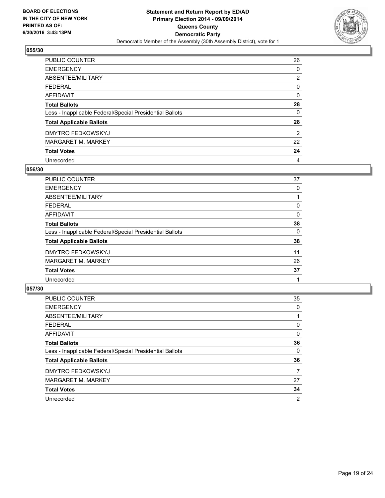

| <b>PUBLIC COUNTER</b>                                    | 26             |
|----------------------------------------------------------|----------------|
| <b>EMERGENCY</b>                                         | 0              |
| ABSENTEE/MILITARY                                        | $\overline{2}$ |
| <b>FEDERAL</b>                                           | 0              |
| <b>AFFIDAVIT</b>                                         | 0              |
| <b>Total Ballots</b>                                     | 28             |
| Less - Inapplicable Federal/Special Presidential Ballots | 0              |
| <b>Total Applicable Ballots</b>                          | 28             |
| <b>DMYTRO FEDKOWSKYJ</b>                                 | 2              |
| <b>MARGARET M. MARKEY</b>                                | 22             |
| <b>Total Votes</b>                                       | 24             |
| Unrecorded                                               | 4              |

#### **056/30**

| <b>PUBLIC COUNTER</b>                                    | 37 |
|----------------------------------------------------------|----|
| <b>EMERGENCY</b>                                         | 0  |
| ABSENTEE/MILITARY                                        |    |
| <b>FEDERAL</b>                                           | 0  |
| <b>AFFIDAVIT</b>                                         | 0  |
| <b>Total Ballots</b>                                     | 38 |
| Less - Inapplicable Federal/Special Presidential Ballots | 0  |
| <b>Total Applicable Ballots</b>                          | 38 |
| <b>DMYTRO FEDKOWSKYJ</b>                                 | 11 |
| MARGARET M. MARKEY                                       | 26 |
| <b>Total Votes</b>                                       | 37 |
| Unrecorded                                               |    |

| <b>PUBLIC COUNTER</b>                                    | 35 |
|----------------------------------------------------------|----|
| <b>EMERGENCY</b>                                         | 0  |
| ABSENTEE/MILITARY                                        |    |
| <b>FEDERAL</b>                                           | 0  |
| <b>AFFIDAVIT</b>                                         | 0  |
| <b>Total Ballots</b>                                     | 36 |
| Less - Inapplicable Federal/Special Presidential Ballots | 0  |
| <b>Total Applicable Ballots</b>                          | 36 |
| <b>DMYTRO FEDKOWSKYJ</b>                                 | 7  |
| <b>MARGARET M. MARKEY</b>                                | 27 |
| <b>Total Votes</b>                                       | 34 |
| Unrecorded                                               | 2  |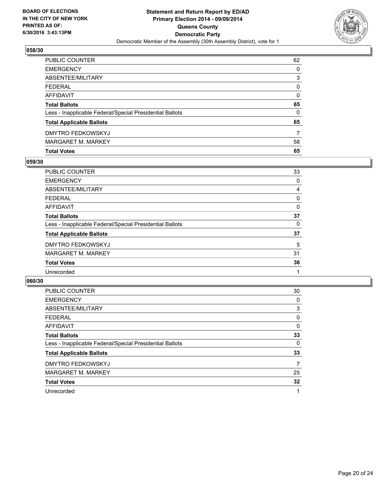

| <b>Total Votes</b>                                       | 65             |
|----------------------------------------------------------|----------------|
| <b>MARGARET M. MARKEY</b>                                | 58             |
| DMYTRO FEDKOWSKYJ                                        | $\overline{7}$ |
| <b>Total Applicable Ballots</b>                          | 65             |
| Less - Inapplicable Federal/Special Presidential Ballots | $\Omega$       |
| <b>Total Ballots</b>                                     | 65             |
| <b>AFFIDAVIT</b>                                         | 0              |
| <b>FEDERAL</b>                                           | 0              |
| ABSENTEE/MILITARY                                        | 3              |
| <b>EMERGENCY</b>                                         | $\Omega$       |
| PUBLIC COUNTER                                           | 62             |

## **059/30**

| <b>PUBLIC COUNTER</b>                                    | 33 |
|----------------------------------------------------------|----|
| <b>EMERGENCY</b>                                         | 0  |
| <b>ABSENTEE/MILITARY</b>                                 | 4  |
| <b>FEDERAL</b>                                           | 0  |
| <b>AFFIDAVIT</b>                                         | 0  |
| <b>Total Ballots</b>                                     | 37 |
| Less - Inapplicable Federal/Special Presidential Ballots | 0  |
| <b>Total Applicable Ballots</b>                          | 37 |
| DMYTRO FEDKOWSKYJ                                        | 5  |
| <b>MARGARET M. MARKEY</b>                                | 31 |
| <b>Total Votes</b>                                       | 36 |
| Unrecorded                                               |    |
|                                                          |    |

| <b>PUBLIC COUNTER</b>                                    | 30 |
|----------------------------------------------------------|----|
| <b>EMERGENCY</b>                                         | 0  |
| ABSENTEE/MILITARY                                        | 3  |
| <b>FEDERAL</b>                                           | 0  |
| AFFIDAVIT                                                | 0  |
| <b>Total Ballots</b>                                     | 33 |
| Less - Inapplicable Federal/Special Presidential Ballots | 0  |
| <b>Total Applicable Ballots</b>                          | 33 |
| <b>DMYTRO FEDKOWSKYJ</b>                                 | 7  |
| <b>MARGARET M. MARKEY</b>                                | 25 |
| <b>Total Votes</b>                                       | 32 |
| Unrecorded                                               | 1  |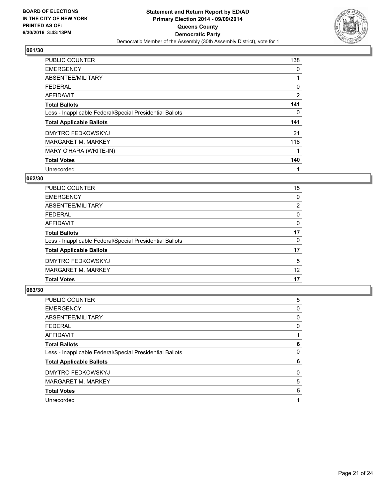

| <b>PUBLIC COUNTER</b>                                    | 138 |
|----------------------------------------------------------|-----|
| <b>EMERGENCY</b>                                         | 0   |
| ABSENTEE/MILITARY                                        | 1   |
| <b>FEDERAL</b>                                           | 0   |
| AFFIDAVIT                                                | 2   |
| <b>Total Ballots</b>                                     | 141 |
| Less - Inapplicable Federal/Special Presidential Ballots | 0   |
| <b>Total Applicable Ballots</b>                          | 141 |
| <b>DMYTRO FEDKOWSKYJ</b>                                 | 21  |
| <b>MARGARET M. MARKEY</b>                                | 118 |
| MARY O'HARA (WRITE-IN)                                   | 1   |
| <b>Total Votes</b>                                       | 140 |
| Unrecorded                                               | 1   |

## **062/30**

| PUBLIC COUNTER                                           | 15             |
|----------------------------------------------------------|----------------|
| <b>EMERGENCY</b>                                         | 0              |
| ABSENTEE/MILITARY                                        | $\overline{2}$ |
| <b>FEDERAL</b>                                           | 0              |
| <b>AFFIDAVIT</b>                                         | 0              |
| <b>Total Ballots</b>                                     | 17             |
| Less - Inapplicable Federal/Special Presidential Ballots | 0              |
| <b>Total Applicable Ballots</b>                          | 17             |
| <b>DMYTRO FEDKOWSKYJ</b>                                 | 5              |
| <b>MARGARET M. MARKEY</b>                                | 12             |
| <b>Total Votes</b>                                       | 17             |

| <b>PUBLIC COUNTER</b>                                    | 5 |
|----------------------------------------------------------|---|
| <b>EMERGENCY</b>                                         | 0 |
| ABSENTEE/MILITARY                                        | 0 |
| <b>FEDERAL</b>                                           | 0 |
| AFFIDAVIT                                                |   |
| <b>Total Ballots</b>                                     | 6 |
| Less - Inapplicable Federal/Special Presidential Ballots | 0 |
| <b>Total Applicable Ballots</b>                          | 6 |
| <b>DMYTRO FEDKOWSKYJ</b>                                 | 0 |
| <b>MARGARET M. MARKEY</b>                                | 5 |
| <b>Total Votes</b>                                       | 5 |
| Unrecorded                                               |   |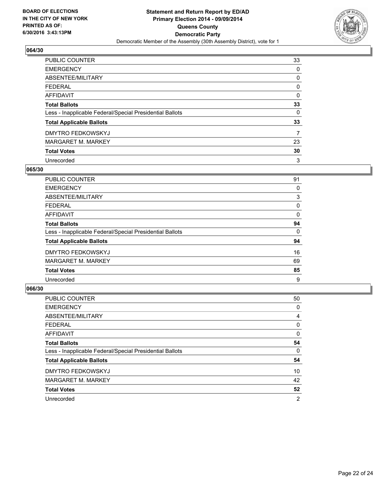

| <b>PUBLIC COUNTER</b>                                    | 33 |
|----------------------------------------------------------|----|
| <b>EMERGENCY</b>                                         | 0  |
| ABSENTEE/MILITARY                                        | 0  |
| <b>FEDERAL</b>                                           | 0  |
| <b>AFFIDAVIT</b>                                         | 0  |
| <b>Total Ballots</b>                                     | 33 |
| Less - Inapplicable Federal/Special Presidential Ballots | 0  |
| <b>Total Applicable Ballots</b>                          | 33 |
| <b>DMYTRO FEDKOWSKYJ</b>                                 | 7  |
| <b>MARGARET M. MARKEY</b>                                | 23 |
| <b>Total Votes</b>                                       | 30 |
| Unrecorded                                               | 3  |

#### **065/30**

| <b>PUBLIC COUNTER</b>                                    | 91 |
|----------------------------------------------------------|----|
| <b>EMERGENCY</b>                                         | 0  |
| ABSENTEE/MILITARY                                        | 3  |
| <b>FEDERAL</b>                                           | 0  |
| <b>AFFIDAVIT</b>                                         | 0  |
| <b>Total Ballots</b>                                     | 94 |
| Less - Inapplicable Federal/Special Presidential Ballots | 0  |
| <b>Total Applicable Ballots</b>                          | 94 |
| <b>DMYTRO FEDKOWSKYJ</b>                                 | 16 |
| <b>MARGARET M. MARKEY</b>                                | 69 |
| <b>Total Votes</b>                                       | 85 |
| Unrecorded                                               | 9  |

| <b>PUBLIC COUNTER</b>                                    | 50 |
|----------------------------------------------------------|----|
| <b>EMERGENCY</b>                                         | 0  |
| ABSENTEE/MILITARY                                        | 4  |
| <b>FEDERAL</b>                                           | 0  |
| <b>AFFIDAVIT</b>                                         | 0  |
| <b>Total Ballots</b>                                     | 54 |
| Less - Inapplicable Federal/Special Presidential Ballots | 0  |
| <b>Total Applicable Ballots</b>                          | 54 |
| <b>DMYTRO FEDKOWSKYJ</b>                                 | 10 |
| <b>MARGARET M. MARKEY</b>                                | 42 |
| <b>Total Votes</b>                                       | 52 |
| Unrecorded                                               | 2  |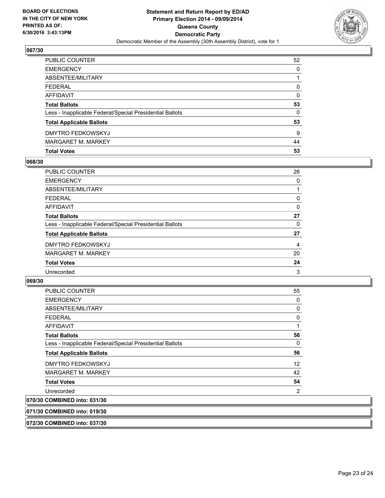

| PUBLIC COUNTER                                           | 52       |
|----------------------------------------------------------|----------|
| <b>EMERGENCY</b>                                         | 0        |
| ABSENTEE/MILITARY                                        |          |
| <b>FEDERAL</b>                                           | $\Omega$ |
| <b>AFFIDAVIT</b>                                         | $\Omega$ |
| <b>Total Ballots</b>                                     | 53       |
| Less - Inapplicable Federal/Special Presidential Ballots | $\Omega$ |
| <b>Total Applicable Ballots</b>                          | 53       |
| DMYTRO FEDKOWSKYJ                                        | 9        |
| <b>MARGARET M. MARKEY</b>                                | 44       |
| <b>Total Votes</b>                                       | 53       |

## **068/30**

| PUBLIC COUNTER                                           | 26 |
|----------------------------------------------------------|----|
| <b>EMERGENCY</b>                                         | 0  |
| ABSENTEE/MILITARY                                        |    |
| <b>FEDERAL</b>                                           | 0  |
| <b>AFFIDAVIT</b>                                         | 0  |
| <b>Total Ballots</b>                                     | 27 |
| Less - Inapplicable Federal/Special Presidential Ballots | 0  |
| <b>Total Applicable Ballots</b>                          | 27 |
| <b>DMYTRO FEDKOWSKYJ</b>                                 | 4  |
| <b>MARGARET M. MARKEY</b>                                | 20 |
| <b>Total Votes</b>                                       | 24 |
| Unrecorded                                               | 3  |
|                                                          |    |

#### **069/30**

| 071/30 COMBINED into: 019/30                             |             |
|----------------------------------------------------------|-------------|
| 070/30 COMBINED into: 031/30                             |             |
| Unrecorded                                               | 2           |
| <b>Total Votes</b>                                       | 54          |
| <b>MARGARET M. MARKEY</b>                                | 42          |
| DMYTRO FEDKOWSKYJ                                        | 12          |
| <b>Total Applicable Ballots</b>                          | 56          |
| Less - Inapplicable Federal/Special Presidential Ballots | $\Omega$    |
| <b>Total Ballots</b>                                     | 56          |
| <b>AFFIDAVIT</b>                                         |             |
| <b>FEDERAL</b>                                           | $\mathbf 0$ |
| ABSENTEE/MILITARY                                        | 0           |
| <b>EMERGENCY</b>                                         | 0           |
| PUBLIC COUNTER                                           | 55          |

**072/30 COMBINED into: 037/30**